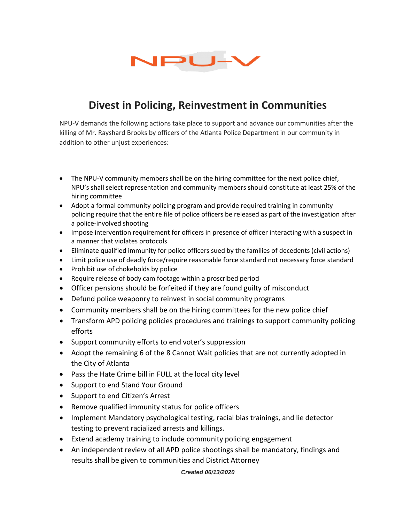

## **Divest in Policing, Reinvestment in Communities**

NPU-V demands the following actions take place to support and advance our communities after the killing of Mr. Rayshard Brooks by officers of the Atlanta Police Department in our community in addition to other unjust experiences:

- The NPU-V community members shall be on the hiring committee for the next police chief, NPU's shall select representation and community members should constitute at least 25% of the hiring committee
- Adopt a formal community policing program and provide required training in community policing require that the entire file of police officers be released as part of the investigation after a police-involved shooting
- Impose intervention requirement for officers in presence of officer interacting with a suspect in a manner that violates protocols
- Eliminate qualified immunity for police officers sued by the families of decedents (civil actions)
- Limit police use of deadly force/require reasonable force standard not necessary force standard
- Prohibit use of chokeholds by police
- Require release of body cam footage within a proscribed period
- Officer pensions should be forfeited if they are found guilty of misconduct
- Defund police weaponry to reinvest in social community programs
- Community members shall be on the hiring committees for the new police chief
- Transform APD policing policies procedures and trainings to support community policing efforts
- Support community efforts to end voter's suppression
- Adopt the remaining 6 of the 8 Cannot Wait policies that are not currently adopted in the City of Atlanta
- Pass the Hate Crime bill in FULL at the local city level
- Support to end Stand Your Ground
- Support to end Citizen's Arrest
- Remove qualified immunity status for police officers
- Implement Mandatory psychological testing, racial bias trainings, and lie detector testing to prevent racialized arrests and killings.
- Extend academy training to include community policing engagement
- An independent review of all APD police shootings shall be mandatory, findings and results shall be given to communities and District Attorney

*Created 06/13/2020*